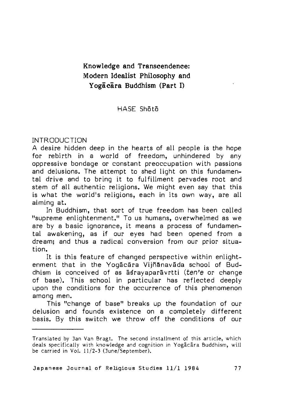## Knowledge and Transcendence: Modern Idealist Philosophy and Yogacara Buddhism (Part I)

## HASE Shoto

## INTRODUCTION

A desire hidden deep in the hearts of all people is the hope for rebirth in a world of freedom, unhindered by any oppressive bondage or constant preoccupation with passions and delusions. The attempt to shed light on this fundamental drive and to bring it to fulfillment pervades root and stem of all authentic religions. We might even say that this is what the world's religions, each in its own way, are all aiming at.

In Buddhism, that sort of true freedom has been called "supreme enlightenment." To us humans, overwhelmed as we are by a basic ignorance, it means a process of fundamental awakening, as if our eyes had been opened from a dream; and thus a radical conversion from our prior situation.

It is this feature of changed perspective within enlightenment that in the Yogacara Vijñanavada school of Buddhism is conceived of as  $a$  as  $r$  and  $r$  are  $r$  is  $r$  or change of base). This school in particular has reflected deeply upon the conditions for the occurrence of this phenomenon among men.

This "change of base" breaks up the foundation of our delusion and founds existence on a completely different basis. By this switch we throw off the conditions of our

Translated by Jan Van Bragt. The second installment of this article, which deals specifically with knowledge and cognition in Yogacara Buddhism, will be carried in Vol. 11/2-3 (June/September).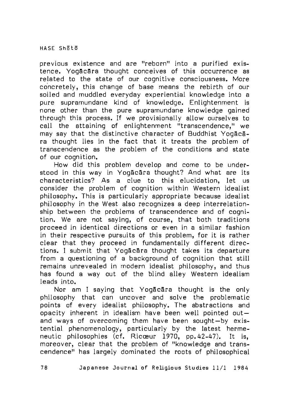previous existence and are "reborn" into a purified existence. YogScSra thought conceives of this occurrence as related to the state of our cognitive consciousness. More concretely, this change of base means the rebirth of our soiled and muddled everyday experiential knowledge into a pure supramundane kind of knowledge. Enlightenment is none other than the pure supramundane knowledge gained through this process. If we provisionally allow ourselves to call the attaining of enlightenment "transcendence," we may say that the distinctive character of Buddhist Yogacara thought lies in the fact that it treats the problem of transcendence as the problem of the conditions and state of our cognition.

How did this problem develop and come to be understood in this way in Yogacara thought? And what are its characteristics? As a clue to this elucidation, let us consider the problem of cognition within Western idealist philosophy. This is particularly appropriate because idealist philosophy in the West also recognizes a deep interrelationship between the problems of transcendence and of cognition. We are not saying, of course, that both traditions proceed in identical directions or even in a similar fashion in their respective pursuits of this problem, for it is rather clear that they proceed in fundamentally different directions. I submit that Yogacara thought takes its departure from a questioning of a background of cognition that still remains unrevealed in modern idealist philosophy, and thus has found a way out of the blind alley Western idealism leads into.

Nor am I saying that Yogacara thought is the only philosophy that can uncover and solve the problematic points of every idealist philosophy. The abstractions and opacity inherent in idealism have been well pointed out and ways of overcoming them have been sought—by existential phenomenology, particularly by the latest hermeneutic philosophies (cf. Ricoeur 1970, pp, 42-47). It is, moreover, clear that the problem of "knowledge and transcendence" has largely dominated the roots of philosophical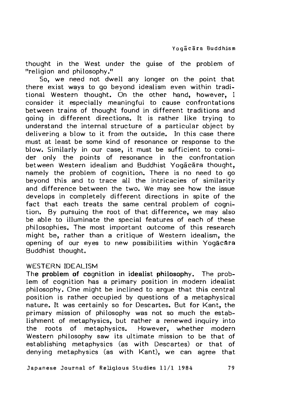thought in the West under the guise of the problem of "religion and philosophy."

So, we need not dwell any longer on the point that there exist ways to go beyond idealism even within traditional Western thought. On the other hand, however, I consider it especially meaningful to cause confrontations between trains of thought found in different traditions and going in different directions. It is rather like trying to understand the internal structure of a particular object by delivering a blow to it from the outside. In this case there must at least be some kind of resonance or response to the blow. Similarly in our case, it must be sufficient to consider only the points of resonance in the confrontation between Western idealism and Buddhist Yogacara thought, namely the problem of cognition. There is no need to go beyond this and to trace all the intricacies of similarity and difference between the two. We may see how the issue develops in completely different directions in spite of the fact that each treats the same central problem of cognition. By pursuing the root of that difference, we may also be able to illuminate the special features of each of these philosophies. The most important outcome of this research might be, rather than a critique of Western idealism, the opening of our eyes to new possibilities within Yogacara Buddhist thought.

WESTERN IDEALISM<br>The problem of cognition in idealist philosophy. The problem of cognition has a primary position in modern idealist philosophy. One might be inclined to argue that this central position is rather occupied by questions of a metaphysical nature. It was certainly so for Descartes. But for Kant, the primary mission of philosophy was not so much the establishment of metaphysics, but rather a renewed inquiry into the roots of metaphysics. However, whether modern Western philosophy saw its ultimate mission to be that of establishing metaphysics (as with Descartes) or that of denying metaphysics (as with Kant), we can agree that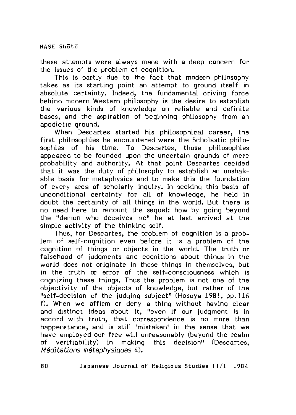these attempts were always made with a deep concern for the issues of the problem of cognition.

This is partly due to the fact that modern philosophy takes as its starting point an attempt to ground itself in absolute certainty. Indeed, the fundamental driving force behind modern Western philosophy is the desire to establish the various kinds of knowledge on reliable and definite bases, and the aspiration of beginning philosophy from an apodictic ground.

When Descartes started his philosophical career, the first philosophies he encountered were the Scholastic philosophies of his time. To Descartes, those philosophies appeared to be founded upon the uncertain grounds of mere probability and authority. At that point Descartes decided that it was the duty of philosophy to establish an unshakable basis for metaphysics and to make this the foundation of every area of scholarly inquiry. In seeking this basis of unconditional certainty for all of knowledge, he held in doubt the certainty of all things in the world. But there is no need here to recount the sequel: how by going beyond the "demon who deceives me" he at last arrived at the simple activity of the thinking self.

Thus, for Descartes, the problem of cognition is a problem of self-cognition even before it is a problem of the cognition of things or objects in the world. The truth or falsehood of judgments and cognitions about things in the world does not originate in those things in themselves, but in the truth or error of the self-consciousness which is cognizing these things. Thus the problem is not one of the objectivity of the objects of knowledge, but rather of the "self-decision of the judging subject" (Hosoya 1981, pp.116 f). When we affirm or deny a thing without having clear and distinct ideas about it, "even if our judgment is in accord with truth, that correspondence is no more than happenstance, and is still 'mistaken' in the sense that we have employed our free will unreasonably (beyond the realm of verifiability) in making this decision" (Descartes, *Meditations m iaphysiques* 4).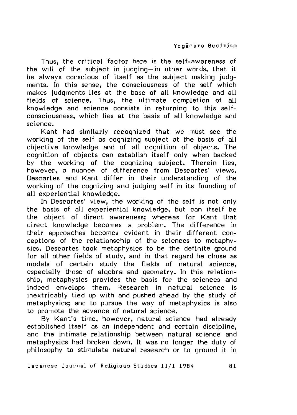Thus, the critical factor here is the self-awareness of the will of the subject in judging—in other words, that it be always conscious of itself as the subject making judgments. In this sense, the consciousness of the self which makes judgments lies at the base of all knowledge and all fields of science. Thus, the ultimate completion of all knowledge and science consists in returning to this selfconsciousness, which lies at the basis of all knowledge and science.

Kant had similarly recognized that we must see the working of the self as cognizing subject at the basis of all objective knowledge and of all cognition of objects. The cognition of objects can establish itself only when backed by the working of the cognizing subject. Therein lies, however, a nuance of difference from Descartes' views. Descartes and Kant differ in their understanding of the working of the cognizing and judging self in its founding of all experiential knowledge.

In Descartes' view, the working of the self is not only the basis of all experiential knowledge, but can itself be the object of direct awareness; whereas for Kant that direct knowledge becomes a problem. The difference in their approaches becomes evident in their different conceptions of the relationschip of the sciences to metaphysics. Descartes took metaphysics to be the definite ground for all other fields of study, and in that regard he chose as models of certain study the fields of natural science, especially those of algebra and geometry. In this relationship, metaphysics provides the basis for the sciences and indeed envelops them. Research in natural science is inextricably tied up with and pushed ahead by the study of metaphysics; and to pursue the way of metaphysics is also to promote the advance of natural science.

By Kant's time, however, natural science had already established itself as an independent and certain discipline. and the intimate relationship between natural science and metaphysics had broken down. It was no longer the duty of philosophy to stimulate natural research or to ground it in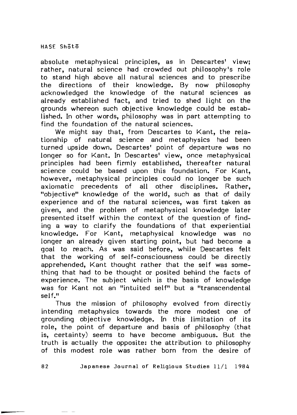absolute metaphysical principles, as in Descartes' view; rather, natural science had crowded out philosophy's role to stand high above all natural sciences and to prescribe the directions of their knowledge. By now philosophy acknowledged the knowledge of the natural sciences as already established fact, and tried to shed light on the grounds whereon such objective knowledge could be established. In other words, philosophy was in part attempting to find the foundation of the natural sciences.

We might say that, from Descartes to Kant, the relationship of natural science and metaphysics had been turned upside down. Descartes' point of departure was no longer so for Kant. In Descartes' view, once metaphysical principles had been firmly established, thereafter natural science could be based upon this foundation. For Kant, however, metaphysical principles could no longer be such axiomatic precedents of all other disciplines. Rather, "objective" knowledge of the world, such as that of daily experience and of the natural sciences, was first taken as given, and the problem of metaphysical knowledge later presented itself within the context of the question of finding a way to clarify the foundations of that experiential knowledge. For Kant, metaphysical knowledge was no longer an already given starting point, but had become a goal to reach. As was said before, while Descartes felt that the working of self-consciousness could be directly apprehended. Kant thought rather that the self was something that had to be thought or posited behind the facts of experience. The subject which is the basis of knowledge was for Kant not an "intuited self" but a "transcendental self."

Thus the mission of philosophy evolved from directly intending metaphysics towards the more modest one of grounding objective knowledge. In this limitation of its role, the point of departure and basis of philosophy (that is, certainty) seems to have become ambiguous. But the truth is actually the opposite: the attribution to philosophy of this modest role was rather born from the desire of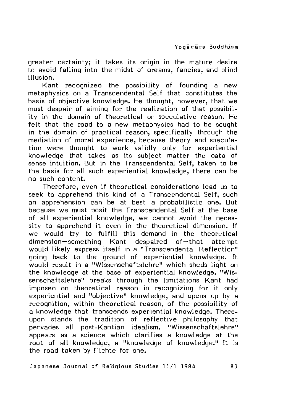greater certainty; it takes its origin in the mature desire to avoid falling into the midst of dreams, fancies, and blind illusion.

Kant recognized the possibility of founding a new metaphysics on a Transcendental Self that constitutes the basis of objective knowledge. He thought, however, that we must despair of aiming for the realization of that possibility in the domain of theoretical or speculative reason. He felt that the road to a new metaphysics had to be sought in the domain of practical reason, specifically through the mediation of moral experience,because theory and speculation were thought to work validly only for experiential knowledge that takes as its subject matter the data of sense intuition. But in the Transcendental Self, taken to be the basis for all such experiential knowledge, there can be no such content.

Therefore, even if theoretical considerations lead us to seek to apprehend this kind of a Transcendental Self, such an apprehension can be at best a probabilistic one. But because we must posit the Transcendental Self at the base of all experiential knowledge, we cannot avoid the necessity to apprehend it even in the theoretical dimension. If we would try to fulfill this demand in the theoretical  $dimension-somethinq$  Kant despaired of that attempt would likely express itself in a "Transcendental Reflection" going back to the ground of experiential knowledge. It would result in a "Wissenschaftslehre" which sheds light on the knowledge at the base of experiential knowledge. "Wissenschaftslehre" breaks through the limitations Kant had imposed on theoretical reason in recognizing for it only experiential and "objective" knowledge, and opens up by a recognition, within theoretical reason, of the possibility of a knowledge that transcends experiential knowledge. Thereupon stands the tradition of reflective philosophy that pervades all post-Kantian idealism. "Wissenschaftslehre" appears as a science which clarifies a knowledge at the root of all knowledge, a "knowledge of knowledge." It is the road taken by Fichte for one.

**J a p a n e s e J o u r n a l o f R e l i g i o u s S tu di e s 11/1 1984 83**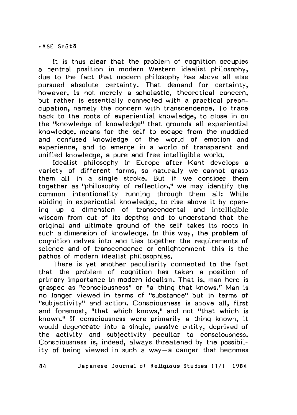It is thus clear that the problem of cognition occupies a central position in modern Western idealist philosophy, due to the fact that modern philosophy has above all else pursued absolute certainty. That demand for certainty, however, is not merely a scholastic, theoretical concern, but rather is essentially connected with a practical preoccupation, namely the concern w ith transcendence. To trace back to the roots of experiential knowledge, to close in on the "knowledge of knowledge" that grounds all experiential knowledge, means for the self to escape from the muddied and confused knowledge of the world of emotion and experience, and to emerge in a world of transparent and unified knowledge, a pure and free intelligible world.

Idealist philosophy in Europe after Kant develops a variety of different forms, so naturally we cannot grasp them all in a single stroke. But if we consider them together as "philosophy of reflection," we may identify the common intentionality running through them all: While abiding in experiential knowledge, to rise above it by opening up a dimension of transcendental and intelligible wisdom from out of its depths; and to understand that the original and ultim ate ground of the self takes its roots in such a dimension of knowledge. In this way, the problem of cognition delves into and ties together the requirements of science and of transcendence or enlightenment-this is the pathos of modern idealist philosophies.

There is yet another peculiarity connected to the fact that the problem of cognition has taken a position of primary importance in modern idealism. That is, man here is grasped as "consciousness" or "a thing that knows." Man is no longer viewed in terms of "substance" but in terms of "subjectivity" and action. Consciousness is above all, first and foremost, "that which knows," and not "that which is known." If consciousness were primarily a thing known, it would degenerate into a single, passive entity, deprived of the activity and subjectivity peculiar to consciousness. Consciousness is, indeed, always threatened by the possibility of being viewed in such a way-a danger that becomes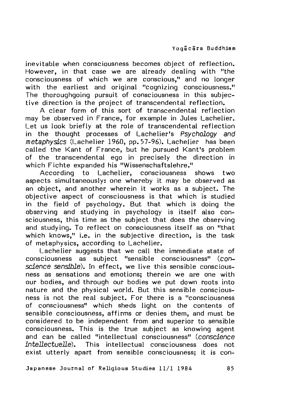inevitable when consciousness becomes object of reflection. However, in that case we are already dealing with "the consciousness of which we are conscious,1' and no longer with the earliest and original "cognizing consciousness." The thoroughgoing pursuit of consciousness in this subjective direction is the project of transcendental reflection.

A clear form of this sort of transcendental reflection may be observed in France, for example in Jules Lachelier. Let us look briefly at the role of transcendental reflection in the thought processes of Lachelier's *Psychology and metaphysics* (Lachelier 1960, pp. 57-96). Lachelier has been called the Kant of France, but he pursued Kant's problem of the transcendental ego in precisely the direction in which Fichte expanded his "Wissenschaftslehre."

According to Lachelier, consciousness shows two aspects simultaneously: one whereby it may be observed as an object, and another wherein it works as a subject. The objective aspect of consciousness is that which is studied in the field of psychology. But that which is doing the observing and studying in psychology is itself also consciousness, this time as the subject that does the observing and studying. To reflect on consciousness itself as on "that which knows," i.e. in the subjective direction, is the task of metaphysics, according to Lachelier.

Lachelier suggests that we call the immediate state of consciousness as subject "sensible consciousness1' *{con*science sensible). In effect, we live this sensible consciousness as sensations and emotions; therein we are one with our bodies, and through our bodies we put down roots into nature and the physical world. But this sensible consciousness is not the real subject. For there is a "consciousness of consciousness" which sheds light on the contents of sensible consciousness, affirms or denies them, and must be considered to be independent from and superior to sensible consciousness. This is the true subject as knowing agent and can be called "intellectual consciousness" *{conscience intellectuelle).* This intellectual consciousness does not exist utterly apart from sensible consciousness; it is con-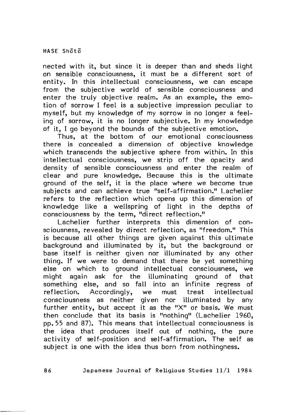nected with it, but since it is deeper than and sheds light on sensible consciousness, it must be a different sort of entity. In this intellectual consciousness, we can escape from the subjective world of sensible consciousness and enter the truly objective realm. As an example, the emotion of sorrow I feel is a subjective impression peculiar to myself, but my knowledge of my sorrow is no longer a feeling of sorrow, it is no longer subjective. In my knowledge of it, I go beyond the bounds of the subjective emotion.

Thus, at the bottom of our emotional consciousness there is concealed a dimension of objective knowledge which transcends the subjective sphere from within. In this intellectual consciousness, we strip off the opacity and density of sensible consciousness and enter the realm of clear and pure knowledge. Because this is the ultimate ground of the self, it is the place where we become true subjects and can achieve true "self-affirmation." Lachelier refers to the reflection which opens up this dimension of knowledge like a wellspring of light in the depths of consciousness by the term, "direct reflection."

Lachelier further interprets this dimension of consciousness, revealed by direct reflection, as "freedom." This is because all other things are given against this ultimate background and illum inated by it, but the background or base itself is neither given nor illuminated by any other thing. If we were to demand that there be yet something else on which to ground intellectual consciousness, we might again ask for the illuminating ground of that something else, and so fall into an infinite regress of reflection. Accordingly, we must treat intellectual consciousness as neither given nor illuminated by any further entity, but accept it as the " $X$ " or basis. We must then conclude that its basis is "nothing" (Lachelier 1960, pp. 55 and 87). This means that intellectual consciousness is the idea that produces itself out of nothing, the pure activity of self-position and self-affirmation. The self as subject is one with the idea thus born from nothingness.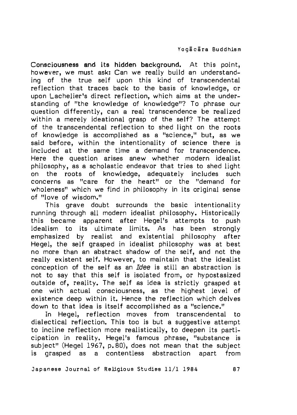Consciousness and its hidden background. At this point, however, we must ask: Can we really build an understanding of the true self upon this kind of transcendental reflection that traces back to the basis of knowledge, or upon Lachelier's direct reflection, which aims at the understanding of "the knowledge of knowledge"? To phrase our question differently, can a real transcendence be realized within a merely ideational grasp of the self? The attempt of the transcendental reflection to shed light on the roots of knowledge is accomplished as a "science," but, as we said before, within the intentionality of science there is included at the same time a demand for transcendence. Here the question arises anew whether modern idealist philosophy, as a scholastic endeavor that tries to shed light on the roots of knowledge, adequately includes such concerns as "care for the heart" or the "demand for wholeness" which we find in philosophy in its original sense of "love of wisdom."

This grave doubt surrounds the basic intentionality running through all modern idealist philosophy. Historically this became apparent after Hegel's attempts to push idealism to its ultimate limits. As has been strongly emphasized by realist and existential philosophy after Hegel, the self grasped in idealist philosophy was at best no more than an abstract shadow of the self, and not the really existent self. However, to maintain that the idealist conception of the self as an *Idee* is still an abstraction is not to say that this self is isolated from, or hypostasized outside of, reality. The self as idea is strictly grasped at one with actual consciousness, as the highest level of existence deep within it. Hence the reflection which delves down to that idea is itself accomplished as a "science."

In Hegel, reflection moves from transcendental to dialectical reflection. This too is but a suggestive attempt to incline reflection more realistically, to deepen its participation in reality. Hegel's famous phrase, "substance is subject" (Hegel 1967, p.80), does not mean that the subject is grasped as a contentless abstraction apart from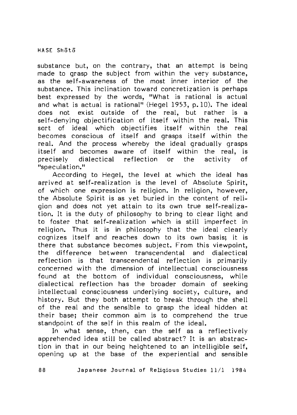#### **HASE Sh5to**

substance but, on the contrary, that an attempt is being made to grasp the subject from within the very substance, as the self-awareness of the most inner interior of the substance. This inclination toward concretization is perhaps best expressed by the words, "What is rational is actual and what is actual is rational" (Hegel 1953, p. 10). The ideal does not exist outside of the real, but rather is a self-denving objectification of itself within the real. This sort of ideal which objectifies itself within the real becomes conscious of itself and grasps itself within the real. And the process whereby the ideal gradually grasps itse lf and becomes aware of itself within the real, is precisely dialectical reflection or the activity of "speculation."

According to Hegel, the level at which the ideal has arrived at self-realization is the level of Absolute Spirit, of which one expression is religion. In religion, however, the Absolute Spirit is as yet buried in the content of religion and does not yet attain to its own true self-realization. It is the duty of philosophy to bring to clear light and to foster that self-realization which is still imperfect in religion. Thus it is in philosophy that the ideal clearly cognizes itself and reaches down to its own basis; it is there that substance becomes subject. From this viewpoint, the difference between transcendental and dialectical reflection is that transcendental reflection is primarily concerned w ith the dimension of intellectual consciousness found at the bottom of individual consciousness, while dialectical reflection has the broader domain of seeking intellectual consciousness underlying society, culture, and history. But they both attempt to break through the shell of the real and the sensible to grasp the ideal hidden at their base; their common aim is to comprehend the true standpoint of the self in this realm of the ideal.

In what sense, then, can the self as a reflectively apprehended idea still be called abstract? It is an abstraction in that in our being heightened to an intelligible self, opening up at the base of the experiential and sensible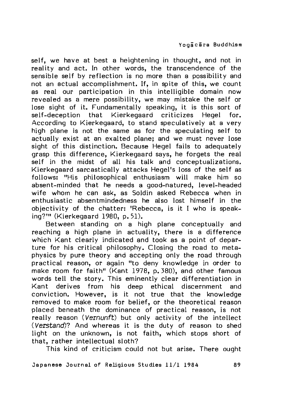self, we have at best a heightening in thought, and not in reality and act. In other words, the transcendence of the sensible self by reflection is no more than a possibility and not an actual accomplishment. If, in spite of this, we count as real our participation in this intelligible domain now revealed as a mere possibility, we may mistake the self or lose sight of it. Fundamentally speaking, it is this sort of self-deception that Kierkegaard criticizes According to Kierkegaard, to stand speculatively at a very high plane is not the same as for the speculating self to actually exist at an exalted plane; and we must never lose sight of this distinction. Because Hegel fails to adequately grasp this difference, Kierkegaard says, he forgets the real self in the midst of all his talk and conceptualizations. Kierkegaard sarcastically attacks Hegel's loss of the self as follows: "His philosophical enthusiasm will make him so absent-minded that he needs a good-natured, level-headed wife whom he can ask, as Soldin asked Rebecca when in enthusiastic absentmindedness he also lost himself in the objectivity of the chatter: 'Rebecca, is it I who is speaking?\*" (Kierkegaard 1980, p. *51).*

Between standing on a high plane conceptually and reaching a high plane in actuality, there is a difference which Kant clearly indicated and took as a point of departure for his critical philosophy. Closing the road to metaphysics by pure theory and accepting only the road through practical reason, or again "to deny knowledge in order to make room for faith" (Kant 1978, p. 380), and other famous words tell the story. This eminently clear differentiation in Kant derives from his deep ethical discernment and conviction. However, is it not true that the knowledge removed to make room for belief, or the theoretical reason placed beneath the dominance of practical reason, is not really reason *(Vernunft)* but only activity of the intellect *(Verstand)?* And whereas it is the duty of reason to shed light on the unknown, is not faith, which stops short of that, rather intellectual sloth?

This kind of criticism could not but arise. There ought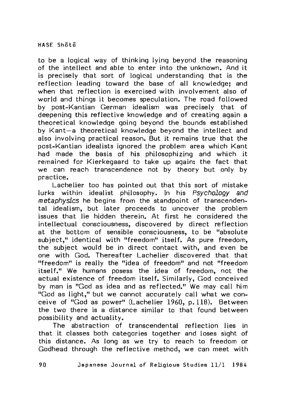to be a logical way of thinking lying beyond the reasoning of the in tellect and able to enter into the unknown. And it is precisely that sort of logical understanding that is the reflection leading toward the base of all knowledge; and when that reflection is exercised with involvement also of world and things it becomes speculation. The road followed by post-Kantian German idealism was precisely that of deepening this reflective knowledge and of creating again a theoretical knowledge going beyond the bounds established by Kant-a theoretical knowledge beyond the intellect and also involving practical reason. But it remains true that the post-Kantian idealists ignored the problem area which Kant had made the basis of his philosophizing and which it remained for Kierkegaard to take up again: the fact that we can reach transcendence not by theory but only by practice.

Lachelier too has pointed out that this sort of mistake lurks w ithin idealist philosophy. In his *Psychology and metaphysics* he begins from the standpoint of transcendental idealism, but later proceeds to uncover the problem issues that lie hidden therein. At first he considered the intellectual consciousness, discovered by direct reflection at the bottom of sensible consciousness, to be "absolute subject." identical with "freedom" itself. As pure freedom, the subject would be in direct contact with, and even be one with God. Thereafter Lachelier discovered that that "freedom" is really the "idea of freedom" and not "freedom itself." We humans posess the idea of freedom, not the actual existence of freedom itself. Similarly, God conceived by man is "God as idea and as reflected." We may call him "God as light," but we cannot accurately call what we conceive of "God as power" (Lachelier 1960, p.118). Between the two there is a distance similar to that found between possibility and actuality.

The abstraction of transcendental reflection lies in that it classes both categories together and loses sight of this distance. As long as we try to reach to freedom or Godhead through the reflective method, we can meet with

**90 J a p a n e s e J o u r n a l o f R e l i g i o u s S t u d i e s 11/ 1 1984**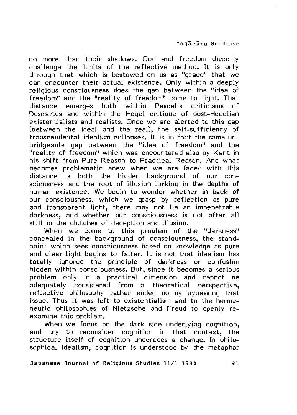no more than their shadows. God and freedom directly challenge the limits of the reflective method. It is only through that which is bestowed on us as "grace" that we can encounter their actual existence. Only within a deeply religious consciousness does the gap between the "idea of freedom" and the "reality of freedom" come to light. That distance emerges both within Pascal's criticisms of Descartes and within the Hegel critique of post-Hegelian existentialists and realists. Once we are alerted to this gap (between the ideal and the real), the self-sufficiency of transcendental idealism collapses. It is in fact the same unbridgeable gap between the "idea of freedom" and the "reality of freedom" which was encountered also by Kant in his shift from Pure Reason to Practical Reason. And what becomes problematic anew when we are faced with this distance is both the hidden background of our consciousness and the root of illusion lurking in the depths of human existence. We begin to wonder whether in back of our consciousness, which we grasp by reflection as pure and transparent light, there may not lie an impenetrable darkness, and whether our consciousness is not after all still in the clutches of deception and illusion.

When we come to this problem of the "darkness" concealed in the background of consciousness, the standpoint which sees consciousness based on knowledge as pure and clear light begins to falter. It is not that idealism has totally ignored the principle of darkness or confusion hidden within consciousness. But, since it becomes a serious problem only in a practical dimension and cannot be adequately considered from a theoretical perspective, reflective philosophy rather ended up by bypassing that issue. Thus it was left to existentialism and to the hermeneutic philosophies of Nietzsche and Freud to openly reexamine this problem.

When we focus on the dark side underlying cognition, and try to reconsider cognition in that context, the structure itself of cognition undergoes a change. In philosophical idealism, cognition is understood by the metaphor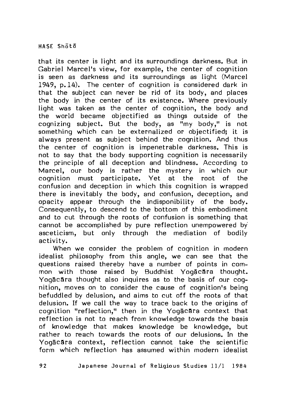that its center is light and its surroundings darkness. But in Gabriel Marcel's view, for example, the center of cognition is seen as darkness and its surroundings as light (Marcel 1949, p. 14). The center of cognition is considered dark in that the subject can never be rid of its body, and places the body in the center of its existence. Where previously light was taken as the center of cognition, the body and the world became objectified as things outside of the cognizing subject. But the body, as "my body," is not something which can be externalized or objectified; it is always present as subject behind the cognition. And thus the center of cognition is impenetrable darkness. This is not to say that the body supporting cognition is necessarily the principle of all deception and blindness. According to Marcel, our body is rather the mystery in which our cognition must participate. Yet at the root of the confusion and deception in which this cognition is wrapped there is inevitably the body, and confusion, deception, and opacity appear through the indisponibility of the body. Consequently, to descend to the bottom of this embodiment and to cut through the roots of confusion is something that cannot be accomplished by pure reflection unempowered by asceticism, but only through the mediation of bodily activity.

When we consider the problem of cognition in modern idealist philosophy from this angle, we can see that the questions raised thereby have a number of points in common with those raised by Buddhist Yogacara thought. Yogacara thought also inquires as to the basis of our cognition, moves on to consider the cause of cognition's being befuddled by delusion, and aims to cut off the roots of that delusion. If we call the way to trace back to the origins of cognition "reflection," then in the Yogacara context that reflection is not to reach from knowledge towards the basis of knowledge that makes knowledge be knowledge, but rather to reach towards the roots of our delusions. In the Yogacara context, reflection cannot take the scientific form which reflection has assumed within modern idealist